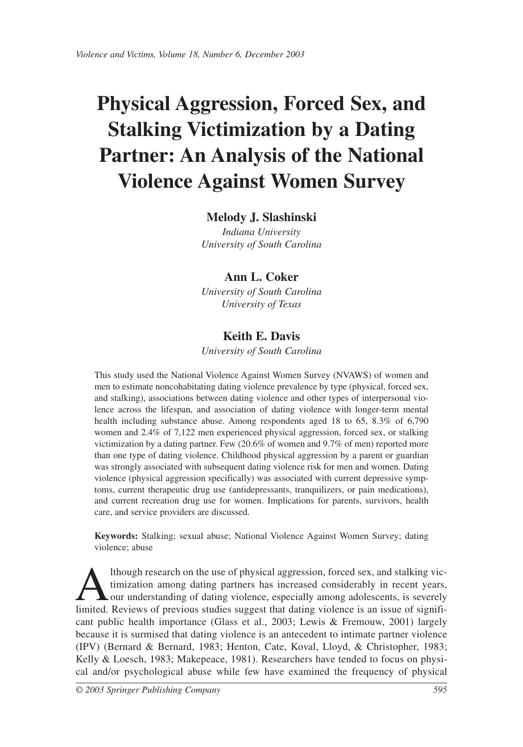# **Physical Aggression, Forced Sex, and Stalking Victimization by a Dating Partner: An Analysis of the National Violence Against Women Survey**

# Melody J. Slashinski

Indiana University University of South Carolina

# Ann L. Coker

University of South Carolina University of Texas

# **Keith E. Davis**

University of South Carolina

This study used the National Violence Against Women Survey (NVAWS) of women and men to estimate noncohabitating dating violence prevalence by type (physical, forced sex, and stalking), associations between dating violence and other types of interpersonal violence across the lifespan, and association of dating violence with longer-term mental health including substance abuse. Among respondents aged 18 to 65, 8.3% of 6.790 women and 2.4% of 7,122 men experienced physical aggression, forced sex, or stalking victimization by a dating partner. Few  $(20.6\%$  of women and 9.7% of men) reported more than one type of dating violence. Childhood physical aggression by a parent or guardian was strongly associated with subsequent dating violence risk for men and women. Dating violence (physical aggression specifically) was associated with current depressive symptoms, current therapeutic drug use (antidepressants, tranquilizers, or pain medications), and current recreation drug use for women. Implications for parents, survivors, health care, and service providers are discussed.

Keywords: Stalking; sexual abuse; National Violence Against Women Survey; dating violence; abuse

lthough research on the use of physical aggression, forced sex, and stalking victimization among dating partners has increased considerably in recent years, Lour understanding of dating violence, especially among adolescents, is severely limited. Reviews of previous studies suggest that dating violence is an issue of significant public health importance (Glass et al., 2003; Lewis & Fremouw, 2001) largely because it is surmised that dating violence is an antecedent to intimate partner violence (IPV) (Bernard & Bernard, 1983; Henton, Cate, Koval, Lloyd, & Christopher, 1983; Kelly & Loesch, 1983; Makepeace, 1981). Researchers have tended to focus on physical and/or psychological abuse while few have examined the frequency of physical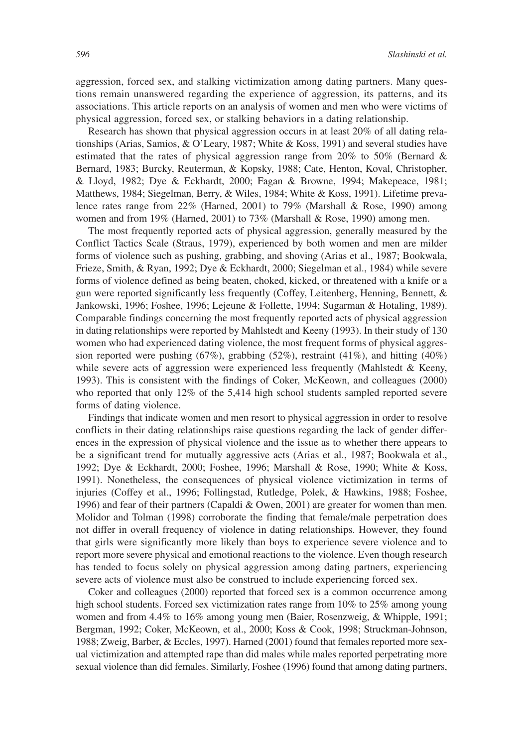aggression, forced sex, and stalking victimization among dating partners. Many questions remain unanswered regarding the experience of aggression, its patterns, and its associations. This article reports on an analysis of women and men who were victims of physical aggression, forced sex, or stalking behaviors in a dating relationship.

Research has shown that physical aggression occurs in at least 20% of all dating relationships (Arias, Samios, & O'Leary, 1987; White & Koss, 1991) and several studies have estimated that the rates of physical aggression range from 20% to 50% (Bernard & Bernard, 1983; Burcky, Reuterman, & Kopsky, 1988; Cate, Henton, Koval, Christopher, & Lloyd, 1982; Dye & Eckhardt, 2000; Fagan & Browne, 1994; Makepeace, 1981; Matthews, 1984; Siegelman, Berry, & Wiles, 1984; White & Koss, 1991). Lifetime prevalence rates range from 22% (Harned, 2001) to 79% (Marshall & Rose, 1990) among women and from 19% (Harned, 2001) to 73% (Marshall & Rose, 1990) among men.

The most frequently reported acts of physical aggression, generally measured by the Conflict Tactics Scale (Straus, 1979), experienced by both women and men are milder forms of violence such as pushing, grabbing, and shoving (Arias et al., 1987; Bookwala, Frieze, Smith, & Ryan, 1992; Dye & Eckhardt, 2000; Siegelman et al., 1984) while severe forms of violence defined as being beaten, choked, kicked, or threatened with a knife or a gun were reported significantly less frequently (Coffey, Leitenberg, Henning, Bennett, & Jankowski, 1996; Foshee, 1996; Lejeune & Follette, 1994; Sugarman & Hotaling, 1989). Comparable findings concerning the most frequently reported acts of physical aggression in dating relationships were reported by Mahlstedt and Keeny (1993). In their study of 130 women who had experienced dating violence, the most frequent forms of physical aggression reported were pushing  $(67\%)$ , grabbing  $(52\%)$ , restraint  $(41\%)$ , and hitting  $(40\%)$ while severe acts of aggression were experienced less frequently (Mahlstedt & Keeny, 1993). This is consistent with the findings of Coker, McKeown, and colleagues (2000) who reported that only 12% of the 5,414 high school students sampled reported severe forms of dating violence.

Findings that indicate women and men resort to physical aggression in order to resolve conflicts in their dating relationships raise questions regarding the lack of gender differences in the expression of physical violence and the issue as to whether there appears to be a significant trend for mutually aggressive acts (Arias et al., 1987; Bookwala et al., 1992; Dye & Eckhardt, 2000; Foshee, 1996; Marshall & Rose, 1990; White & Koss, 1991). Nonetheless, the consequences of physical violence victimization in terms of injuries (Coffey et al., 1996; Follingstad, Rutledge, Polek, & Hawkins, 1988; Foshee, 1996) and fear of their partners (Capaldi & Owen, 2001) are greater for women than men. Molidor and Tolman (1998) corroborate the finding that female/male perpetration does not differ in overall frequency of violence in dating relationships. However, they found that girls were significantly more likely than boys to experience severe violence and to report more severe physical and emotional reactions to the violence. Even though research has tended to focus solely on physical aggression among dating partners, experiencing severe acts of violence must also be construed to include experiencing forced sex.

Coker and colleagues (2000) reported that forced sex is a common occurrence among high school students. Forced sex victimization rates range from 10% to 25% among young women and from 4.4% to 16% among young men (Baier, Rosenzweig, & Whipple, 1991; Bergman, 1992; Coker, McKeown, et al., 2000; Koss & Cook, 1998; Struckman-Johnson, 1988; Zweig, Barber, & Eccles, 1997). Harned (2001) found that females reported more sexual victimization and attempted rape than did males while males reported perpetrating more sexual violence than did females. Similarly, Foshee (1996) found that among dating partners,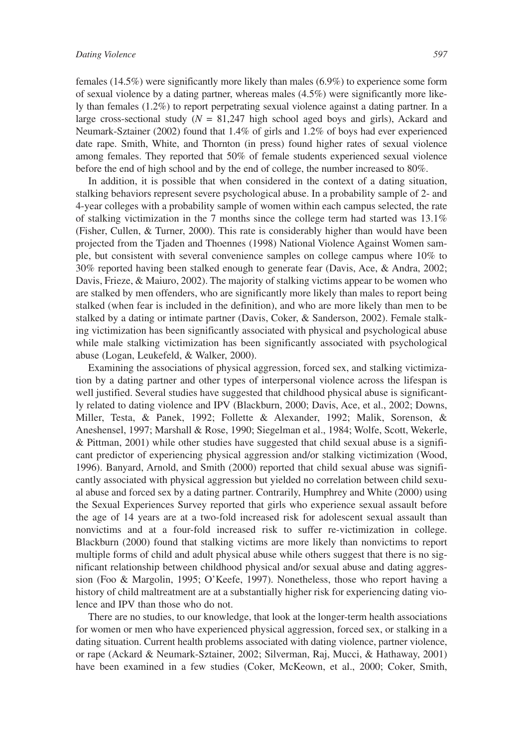females  $(14.5\%)$  were significantly more likely than males  $(6.9\%)$  to experience some form of sexual violence by a dating partner, whereas males  $(4.5\%)$  were significantly more likely than females  $(1.2\%)$  to report perpetrating sexual violence against a dating partner. In a large cross-sectional study ( $N = 81,247$  high school aged boys and girls), Ackard and Neumark-Sztainer (2002) found that 1.4% of girls and 1.2% of boys had ever experienced date rape. Smith, White, and Thornton (in press) found higher rates of sexual violence among females. They reported that 50% of female students experienced sexual violence before the end of high school and by the end of college, the number increased to 80%.

In addition, it is possible that when considered in the context of a dating situation, stalking behaviors represent severe psychological abuse. In a probability sample of 2- and 4-year colleges with a probability sample of women within each campus selected, the rate of stalking victimization in the 7 months since the college term had started was 13.1% (Fisher, Cullen, & Turner, 2000). This rate is considerably higher than would have been projected from the Tjaden and Thoennes (1998) National Violence Against Women sample, but consistent with several convenience samples on college campus where 10% to 30% reported having been stalked enough to generate fear (Davis, Ace, & Andra, 2002; Davis, Frieze, & Maiuro, 2002). The majority of stalking victims appear to be women who are stalked by men offenders, who are significantly more likely than males to report being stalked (when fear is included in the definition), and who are more likely than men to be stalked by a dating or intimate partner (Davis, Coker, & Sanderson, 2002). Female stalking victimization has been significantly associated with physical and psychological abuse while male stalking victimization has been significantly associated with psychological abuse (Logan, Leukefeld, & Walker, 2000).

Examining the associations of physical aggression, forced sex, and stalking victimization by a dating partner and other types of interpersonal violence across the lifespan is well justified. Several studies have suggested that childhood physical abuse is significantly related to dating violence and IPV (Blackburn, 2000; Davis, Ace, et al., 2002; Downs, Miller, Testa, & Panek, 1992; Follette & Alexander, 1992; Malik, Sorenson, & Aneshensel, 1997; Marshall & Rose, 1990; Siegelman et al., 1984; Wolfe, Scott, Wekerle, & Pittman, 2001) while other studies have suggested that child sexual abuse is a significant predictor of experiencing physical aggression and/or stalking victimization (Wood, 1996). Banyard, Arnold, and Smith (2000) reported that child sexual abuse was significantly associated with physical aggression but yielded no correlation between child sexual abuse and forced sex by a dating partner. Contrarily, Humphrey and White (2000) using the Sexual Experiences Survey reported that girls who experience sexual assault before the age of 14 years are at a two-fold increased risk for adolescent sexual assault than nonvictims and at a four-fold increased risk to suffer re-victimization in college. Blackburn (2000) found that stalking victims are more likely than nonvictims to report multiple forms of child and adult physical abuse while others suggest that there is no significant relationship between childhood physical and/or sexual abuse and dating aggression (Foo & Margolin, 1995; O'Keefe, 1997). Nonetheless, those who report having a history of child maltreatment are at a substantially higher risk for experiencing dating violence and IPV than those who do not.

There are no studies, to our knowledge, that look at the longer-term health associations for women or men who have experienced physical aggression, forced sex, or stalking in a dating situation. Current health problems associated with dating violence, partner violence, or rape (Ackard & Neumark-Sztainer, 2002; Silverman, Raj, Mucci, & Hathaway, 2001) have been examined in a few studies (Coker, McKeown, et al., 2000; Coker, Smith,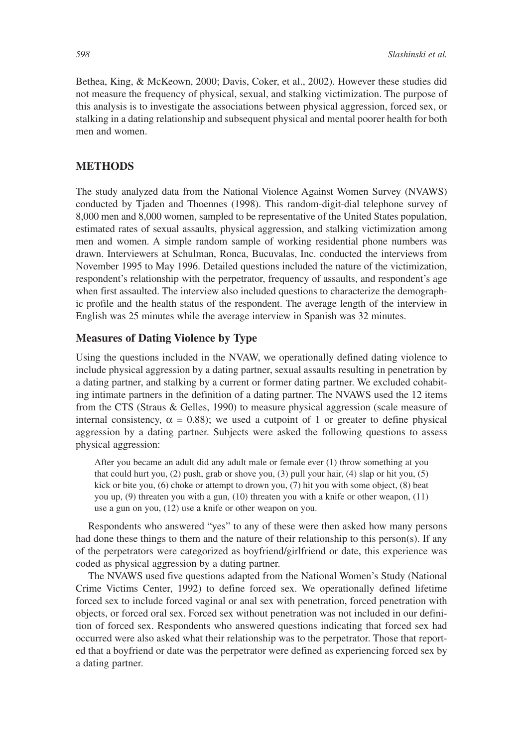Bethea, King, & McKeown, 2000; Davis, Coker, et al., 2002). However these studies did not measure the frequency of physical, sexual, and stalking victimization. The purpose of this analysis is to investigate the associations between physical aggression, forced sex, or stalking in a dating relationship and subsequent physical and mental poorer health for both men and women.

### **METHODS**

The study analyzed data from the National Violence Against Women Survey (NVAWS) conducted by Tjaden and Thoennes (1998). This random-digit-dial telephone survey of 8,000 men and 8,000 women, sampled to be representative of the United States population, estimated rates of sexual assaults, physical aggression, and stalking victimization among men and women. A simple random sample of working residential phone numbers was drawn. Interviewers at Schulman, Ronca, Bucuvalas, Inc. conducted the interviews from November 1995 to May 1996. Detailed questions included the nature of the victimization, respondent's relationship with the perpetrator, frequency of assaults, and respondent's age when first assaulted. The interview also included questions to characterize the demographic profile and the health status of the respondent. The average length of the interview in English was 25 minutes while the average interview in Spanish was 32 minutes.

#### **Measures of Dating Violence by Type**

Using the questions included in the NVAW, we operationally defined dating violence to include physical aggression by a dating partner, sexual assaults resulting in penetration by a dating partner, and stalking by a current or former dating partner. We excluded cohabiting intimate partners in the definition of a dating partner. The NVAWS used the 12 items from the CTS (Straus  $&$  Gelles, 1990) to measure physical aggression (scale measure of internal consistency,  $\alpha = 0.88$ ; we used a cutpoint of 1 or greater to define physical aggression by a dating partner. Subjects were asked the following questions to assess physical aggression:

After you became an adult did any adult male or female ever (1) throw something at you that could hurt you,  $(2)$  push, grab or shove you,  $(3)$  pull your hair,  $(4)$  slap or hit you,  $(5)$ kick or bite you, (6) choke or attempt to drown you, (7) hit you with some object, (8) beat you up,  $(9)$  threaten you with a gun,  $(10)$  threaten you with a knife or other weapon,  $(11)$ use a gun on you, (12) use a knife or other weapon on you.

Respondents who answered "yes" to any of these were then asked how many persons had done these things to them and the nature of their relationship to this person(s). If any of the perpetrators were categorized as boyfriend/girlfriend or date, this experience was coded as physical aggression by a dating partner.

The NVAWS used five questions adapted from the National Women's Study (National Crime Victims Center, 1992) to define forced sex. We operationally defined lifetime forced sex to include forced vaginal or anal sex with penetration, forced penetration with objects, or forced oral sex. Forced sex without penetration was not included in our definition of forced sex. Respondents who answered questions indicating that forced sex had occurred were also asked what their relationship was to the perpetrator. Those that reported that a boyfriend or date was the perpetrator were defined as experiencing forced sex by a dating partner.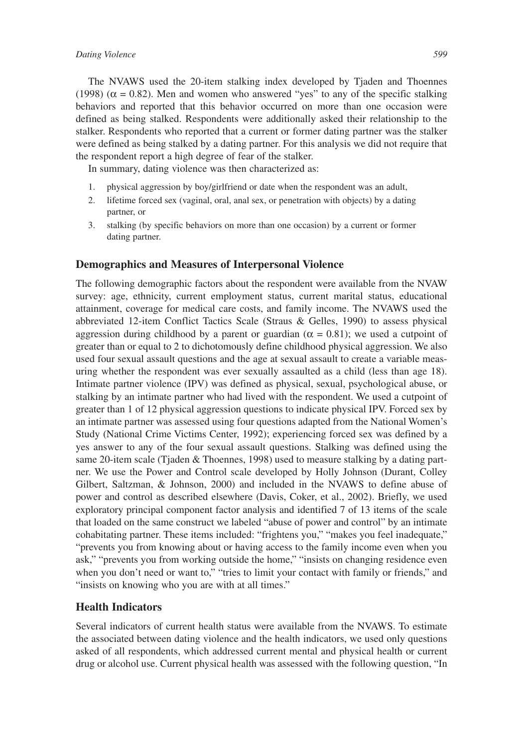The NVAWS used the 20-item stalking index developed by Tjaden and Thoennes (1998) ( $\alpha$  = 0.82). Men and women who answered "yes" to any of the specific stalking behaviors and reported that this behavior occurred on more than one occasion were defined as being stalked. Respondents were additionally asked their relationship to the stalker. Respondents who reported that a current or former dating partner was the stalker were defined as being stalked by a dating partner. For this analysis we did not require that the respondent report a high degree of fear of the stalker.

In summary, dating violence was then characterized as:

- physical aggression by boy/girlfriend or date when the respondent was an adult, 1.
- $\overline{2}$ . lifetime forced sex (vaginal, oral, anal sex, or penetration with objects) by a dating partner, or
- stalking (by specific behaviors on more than one occasion) by a current or former 3. dating partner.

## **Demographics and Measures of Interpersonal Violence**

The following demographic factors about the respondent were available from the NVAW survey: age, ethnicity, current employment status, current marital status, educational attainment, coverage for medical care costs, and family income. The NVAWS used the abbreviated 12-item Conflict Tactics Scale (Straus & Gelles, 1990) to assess physical aggression during childhood by a parent or guardian ( $\alpha = 0.81$ ); we used a cutpoint of greater than or equal to 2 to dichotomously define childhood physical aggression. We also used four sexual assault questions and the age at sexual assault to create a variable measuring whether the respondent was ever sexually assaulted as a child (less than age 18). Intimate partner violence (IPV) was defined as physical, sexual, psychological abuse, or stalking by an intimate partner who had lived with the respondent. We used a cutpoint of greater than 1 of 12 physical aggression questions to indicate physical IPV. Forced sex by an intimate partner was assessed using four questions adapted from the National Women's Study (National Crime Victims Center, 1992); experiencing forced sex was defined by a yes answer to any of the four sexual assault questions. Stalking was defined using the same 20-item scale (Tjaden & Thoennes, 1998) used to measure stalking by a dating partner. We use the Power and Control scale developed by Holly Johnson (Durant, Colley Gilbert, Saltzman, & Johnson, 2000) and included in the NVAWS to define abuse of power and control as described elsewhere (Davis, Coker, et al., 2002). Briefly, we used exploratory principal component factor analysis and identified 7 of 13 items of the scale that loaded on the same construct we labeled "abuse of power and control" by an intimate cohabitating partner. These items included: "frightens you," "makes you feel inadequate," "prevents you from knowing about or having access to the family income even when you ask," "prevents you from working outside the home," "insists on changing residence even when you don't need or want to," "tries to limit your contact with family or friends," and "insists on knowing who you are with at all times."

## **Health Indicators**

Several indicators of current health status were available from the NVAWS. To estimate the associated between dating violence and the health indicators, we used only questions asked of all respondents, which addressed current mental and physical health or current drug or alcohol use. Current physical health was assessed with the following question, "In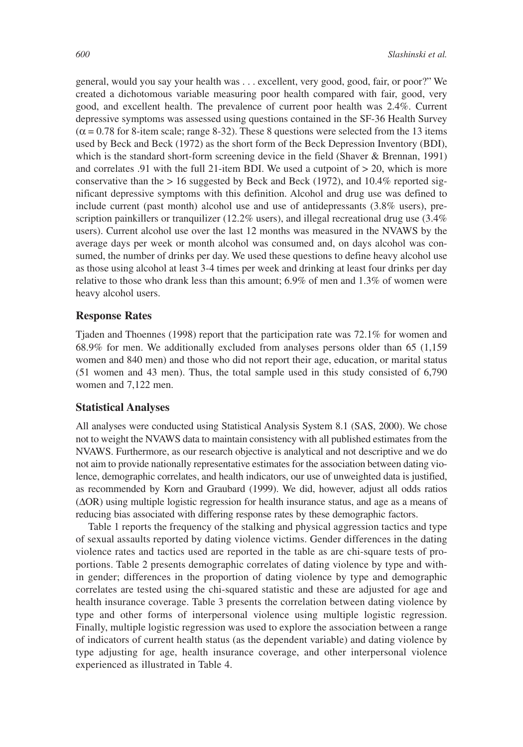general, would you say your health was . . . excellent, very good, good, fair, or poor?" We created a dichotomous variable measuring poor health compared with fair, good, very good, and excellent health. The prevalence of current poor health was 2.4%. Current depressive symptoms was assessed using questions contained in the SF-36 Health Survey  $(\alpha = 0.78$  for 8-item scale; range 8-32). These 8 questions were selected from the 13 items used by Beck and Beck (1972) as the short form of the Beck Depression Inventory (BDI), which is the standard short-form screening device in the field (Shaver  $\&$  Brennan, 1991) and correlates .91 with the full 21-item BDI. We used a cutpoint of  $> 20$ , which is more conservative than the  $> 16$  suggested by Beck and Beck (1972), and 10.4% reported significant depressive symptoms with this definition. Alcohol and drug use was defined to include current (past month) alcohol use and use of antidepressants (3.8% users), prescription painkillers or tranquilizer (12.2% users), and illegal recreational drug use (3.4% users). Current alcohol use over the last 12 months was measured in the NVAWS by the average days per week or month alcohol was consumed and, on days alcohol was consumed, the number of drinks per day. We used these questions to define heavy alcohol use as those using alcohol at least 3-4 times per week and drinking at least four drinks per day relative to those who drank less than this amount; 6.9% of men and 1.3% of women were heavy alcohol users.

#### **Response Rates**

Tjaden and Thoennes (1998) report that the participation rate was 72.1% for women and 68.9% for men. We additionally excluded from analyses persons older than 65 (1,159) women and 840 men) and those who did not report their age, education, or marital status (51 women and 43 men). Thus, the total sample used in this study consisted of 6,790 women and 7,122 men.

#### **Statistical Analyses**

All analyses were conducted using Statistical Analysis System 8.1 (SAS, 2000). We chose not to weight the NVAWS data to maintain consistency with all published estimates from the NVAWS. Furthermore, as our research objective is analytical and not descriptive and we do not aim to provide nationally representative estimates for the association between dating violence, demographic correlates, and health indicators, our use of unweighted data is justified, as recommended by Korn and Graubard (1999). We did, however, adjust all odds ratios  $(\Delta$ OR) using multiple logistic regression for health insurance status, and age as a means of reducing bias associated with differing response rates by these demographic factors.

Table 1 reports the frequency of the stalking and physical aggression tactics and type of sexual assaults reported by dating violence victims. Gender differences in the dating violence rates and tactics used are reported in the table as are chi-square tests of proportions. Table 2 presents demographic correlates of dating violence by type and within gender; differences in the proportion of dating violence by type and demographic correlates are tested using the chi-squared statistic and these are adjusted for age and health insurance coverage. Table 3 presents the correlation between dating violence by type and other forms of interpersonal violence using multiple logistic regression. Finally, multiple logistic regression was used to explore the association between a range of indicators of current health status (as the dependent variable) and dating violence by type adjusting for age, health insurance coverage, and other interpersonal violence experienced as illustrated in Table 4.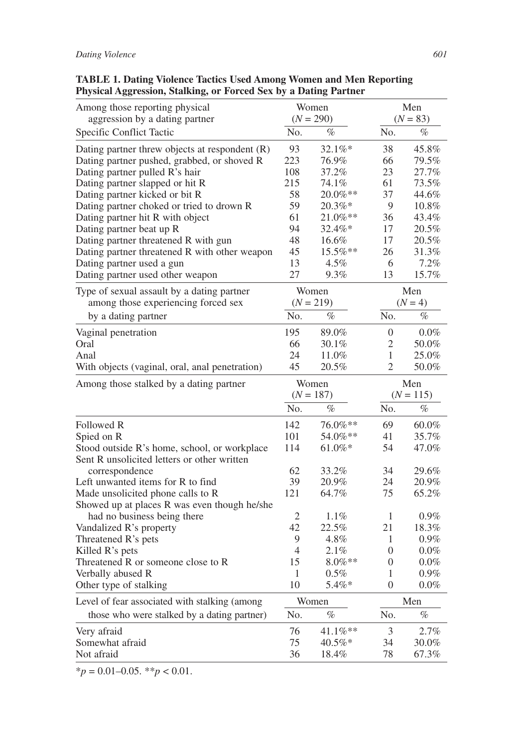| Men<br>Among those reporting physical<br>Women<br>$(N = 290)$<br>aggression by a dating partner<br>$(N = 83)$<br>Specific Conflict Tactic<br>No.<br>No.<br>$\%$<br>$\%$<br>93<br>32.1%*<br>38<br>45.8%<br>Dating partner threw objects at respondent (R)<br>Dating partner pushed, grabbed, or shoved R<br>223<br>66<br>76.9%<br>79.5% |  |
|----------------------------------------------------------------------------------------------------------------------------------------------------------------------------------------------------------------------------------------------------------------------------------------------------------------------------------------|--|
|                                                                                                                                                                                                                                                                                                                                        |  |
|                                                                                                                                                                                                                                                                                                                                        |  |
|                                                                                                                                                                                                                                                                                                                                        |  |
|                                                                                                                                                                                                                                                                                                                                        |  |
| Dating partner pulled R's hair<br>108<br>37.2%<br>23<br>27.7%                                                                                                                                                                                                                                                                          |  |
| 215<br>61<br>73.5%<br>Dating partner slapped or hit R<br>74.1%                                                                                                                                                                                                                                                                         |  |
| 58<br>Dating partner kicked or bit R<br>20.0%**<br>37<br>44.6%                                                                                                                                                                                                                                                                         |  |
| 59<br>$20.3\%*$<br>9<br>10.8%<br>Dating partner choked or tried to drown R                                                                                                                                                                                                                                                             |  |
| 61<br>21.0%**<br>36<br>43.4%<br>Dating partner hit R with object                                                                                                                                                                                                                                                                       |  |
| 94<br>32.4%*<br>17<br>$20.5\%$<br>Dating partner beat up R                                                                                                                                                                                                                                                                             |  |
| 48<br>20.5%<br>Dating partner threatened R with gun<br>16.6%<br>17                                                                                                                                                                                                                                                                     |  |
| Dating partner threatened R with other weapon<br>45<br>$15.5\%$ **<br>26<br>31.3%                                                                                                                                                                                                                                                      |  |
| 13<br>$7.2\%$<br>Dating partner used a gun<br>4.5%<br>6                                                                                                                                                                                                                                                                                |  |
| 27<br>9.3%<br>13<br>15.7%<br>Dating partner used other weapon                                                                                                                                                                                                                                                                          |  |
| Type of sexual assault by a dating partner<br>Women<br>Men                                                                                                                                                                                                                                                                             |  |
| $(N = 219)$<br>among those experiencing forced sex<br>$(N = 4)$                                                                                                                                                                                                                                                                        |  |
| No.<br>No.<br>by a dating partner<br>$\%$<br>$\%$                                                                                                                                                                                                                                                                                      |  |
| 195<br>89.0%<br>$\theta$<br>$0.0\%$<br>Vaginal penetration                                                                                                                                                                                                                                                                             |  |
| Oral<br>66<br>30.1%<br>2<br>50.0%                                                                                                                                                                                                                                                                                                      |  |
| 24<br>1<br>Anal<br>11.0%<br>25.0%                                                                                                                                                                                                                                                                                                      |  |
| $\overline{2}$<br>45<br>20.5%<br>50.0%<br>With objects (vaginal, oral, anal penetration)                                                                                                                                                                                                                                               |  |
|                                                                                                                                                                                                                                                                                                                                        |  |
| Women<br>Men<br>Among those stalked by a dating partner                                                                                                                                                                                                                                                                                |  |
| $(N = 187)$<br>$(N = 115)$                                                                                                                                                                                                                                                                                                             |  |
| No.<br>No.<br>$\%$<br>$\%$                                                                                                                                                                                                                                                                                                             |  |
| Followed R<br>142<br>69<br>60.0%<br>$76.0\%**$                                                                                                                                                                                                                                                                                         |  |
| 35.7%<br>Spied on R<br>101<br>54.0%**<br>41                                                                                                                                                                                                                                                                                            |  |
| 114<br>61.0%*<br>54<br>47.0%<br>Stood outside R's home, school, or workplace                                                                                                                                                                                                                                                           |  |
| Sent R unsolicited letters or other written                                                                                                                                                                                                                                                                                            |  |
| 62<br>33.2%<br>29.6%<br>correspondence<br>34                                                                                                                                                                                                                                                                                           |  |
| 39<br>Left unwanted items for R to find<br>20.9%<br>20.9%<br>24                                                                                                                                                                                                                                                                        |  |
| Made unsolicited phone calls to R<br>121<br>64.7%<br>75<br>65.2%                                                                                                                                                                                                                                                                       |  |
| Showed up at places R was even though he/she                                                                                                                                                                                                                                                                                           |  |
| $\overline{2}$<br>1.1%<br>$\mathbf{1}$<br>$0.9\%$<br>had no business being there                                                                                                                                                                                                                                                       |  |
| 42<br>21<br>22.5%<br>Vandalized R's property<br>18.3%                                                                                                                                                                                                                                                                                  |  |
| 9<br>4.8%<br>1<br>Threatened R's pets<br>$0.9\%$                                                                                                                                                                                                                                                                                       |  |
| 4<br>2.1%<br>$\theta$<br>0.0%<br>Killed R's pets                                                                                                                                                                                                                                                                                       |  |
| Threatened R or someone close to R<br>$0.0\%$<br>15<br>$8.0\%**$<br>$\boldsymbol{0}$                                                                                                                                                                                                                                                   |  |
| Verbally abused R<br>$0.5\%$<br>$0.9\%$<br>1<br>1                                                                                                                                                                                                                                                                                      |  |
| 10<br>$5.4\%*$<br>Other type of stalking<br>0<br>$0.0\%$                                                                                                                                                                                                                                                                               |  |
| Level of fear associated with stalking (among<br>Men<br>Women                                                                                                                                                                                                                                                                          |  |
| No.<br>those who were stalked by a dating partner)<br>$\%$<br>No.<br>$\%$                                                                                                                                                                                                                                                              |  |
| 76<br>3<br>2.7%<br>Very afraid<br>$41.1\%**$                                                                                                                                                                                                                                                                                           |  |
| Somewhat afraid<br>75<br>$40.5\%*$<br>34<br>30.0%<br>Not afraid<br>36<br>18.4%<br>67.3%<br>78                                                                                                                                                                                                                                          |  |

# TABLE 1. Dating Violence Tactics Used Among Women and Men Reporting<br>Physical Aggression, Stalking, or Forced Sex by a Dating Partner

 $*_{p} = 0.01 - 0.05$ .  $*_{p} < 0.01$ .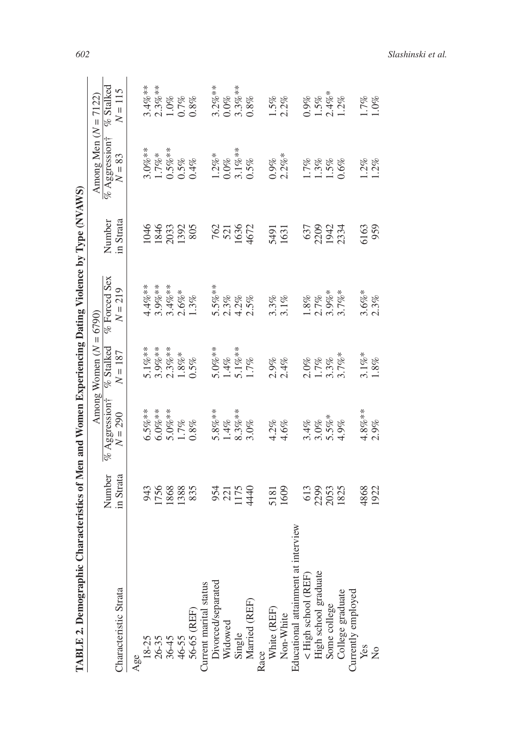| formation of the company of the company of the company of the company of the company of the company of the company of the company of the company of the company of the company of the company of the company of the company of |             |                           |                          |                |             |                        |                |
|--------------------------------------------------------------------------------------------------------------------------------------------------------------------------------------------------------------------------------|-------------|---------------------------|--------------------------|----------------|-------------|------------------------|----------------|
|                                                                                                                                                                                                                                |             |                           | Among Women $(N = 6790)$ |                |             | Among Men $(N = 7122)$ |                |
|                                                                                                                                                                                                                                | Number      | $\sqrt[6]{6}$ Aggression† | % Stalked                | % Forced Sex   | Number      | $\%$ Aggression†       | $%$ Stalked    |
| Characteristic Strata                                                                                                                                                                                                          | in Strata   | $N = 290$                 | $N = 187$                | $N = 219$      | in Strata   | $N = 83$               | $N = 115$      |
| Age                                                                                                                                                                                                                            |             |                           |                          |                |             |                        |                |
| 18-25                                                                                                                                                                                                                          |             | $6.5\%**$                 | $5.1\%***$               | $4.4\%***$     | 1046        | $3.0\%***$             | $3.4\%***$     |
|                                                                                                                                                                                                                                | 943<br>1756 | $6.0\%***$                | $3.9\%***$               | $3.9\%***$     | 1846        | $1.7\%$ *              | $2.3\%***$     |
|                                                                                                                                                                                                                                | 868         | $5.0\%$ **                | $2.3\%***$               | $3.4%***$      |             | $0.5\%***$             | $1.0\%$        |
|                                                                                                                                                                                                                                | 388         | $1.7\%$                   | $1.8\% *$                | $2.6\% *$      | 1392        | 0.5%                   | 0.7%           |
| 26-35<br>36-45<br>46-55<br>56-65 (REF)                                                                                                                                                                                         | 835         | $0.8\%$                   | 0.5%                     | $1.3\%$        | 805         | 0.4%                   | $0.8\%$        |
| Current marital status                                                                                                                                                                                                         |             |                           |                          |                |             |                        |                |
|                                                                                                                                                                                                                                | 954         | $5.8\%***$                | $5.0\%***$               | $5.5\%$ **     | 762         | $1.2\% *$              | $3.2\%***$     |
|                                                                                                                                                                                                                                | 221         | $1.4\%$                   | $1.4\%$                  | 2.3%           | 521         | $0.0\%$                | $0.0\%$        |
|                                                                                                                                                                                                                                | 175         | $8.3\%***$                | 5.1% **                  | $4.2\%$        | 1636        | $3.1\%***$             | $3.3\%***$     |
| Divorced/separated<br>Widowed<br>Single<br>Married (REF)                                                                                                                                                                       | 4440        | $3.0\%$                   | 17%                      | 2.5%           | 4672        | 0.5%                   | $0.8\%$        |
| Race                                                                                                                                                                                                                           |             |                           |                          |                |             |                        |                |
| White (REF)                                                                                                                                                                                                                    | 5181        | 4.2%                      | 2.9%<br>2.4%             | $3.3%$<br>3.1% | 5491        | 0.9%                   | $1.5%$<br>2.2% |
| Non-White                                                                                                                                                                                                                      | 1609        | $4.6\%$                   |                          |                | 1631        | $2.2\%$ *              |                |
| Educational attainment at interview                                                                                                                                                                                            |             |                           |                          |                |             |                        |                |
| < High school (REF)                                                                                                                                                                                                            |             | 3.4%                      | 2.0%                     | $1.8\%$        |             | 17%                    | 0.9%           |
| High school graduate<br>Some college                                                                                                                                                                                           | 613<br>2299 | $3.0\%$                   | $1.7\%$                  | 2.7%           | 637<br>2209 | $1.3%$<br>1.5%         | $1.5\%$        |
|                                                                                                                                                                                                                                | 2053        | $5.5\%$ *                 |                          | $3.9\% *$      | 1942        |                        | $2.4\% *$      |
| College graduate<br>Currently employed                                                                                                                                                                                         | 1825        | 4.9%                      | $3.3\%$<br>3.7%*         | $3.7%$ *       | 2334        | 0.6%                   | $1.2\%$        |
|                                                                                                                                                                                                                                |             |                           |                          |                |             |                        |                |
| Yes                                                                                                                                                                                                                            | 4868        | $4.8\%***$                | $3.1\%$ *                | $3.6\% *$      | 6163        | $\frac{1.2\%}{1.2\%}$  | 1.7%           |
| $\frac{1}{2}$                                                                                                                                                                                                                  | 1922        | 2.9%                      | $1.8\%$                  | 2.3%           | 959         |                        | $1.0\%$        |

TABLE 2. Demographic Characteristics of Men and Women Experiencing Dating Violence by Type (NVAWS)

602

Slashinski et al.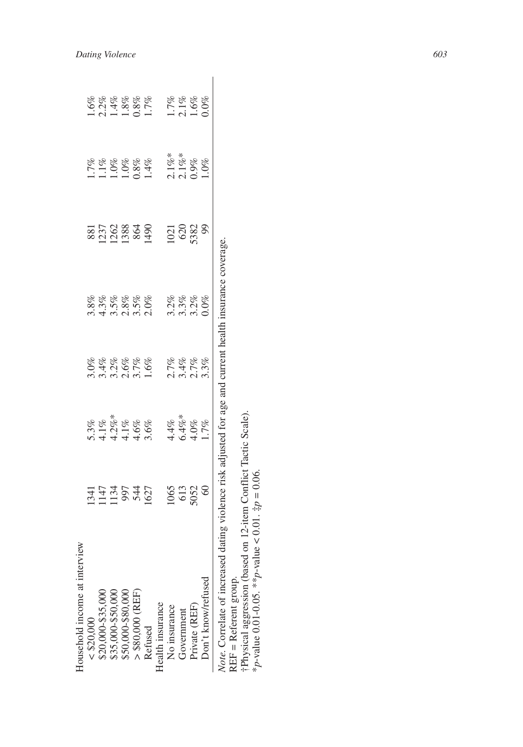| Household income at interview                                                                                      |                                      |                                      |                             |                                              |
|--------------------------------------------------------------------------------------------------------------------|--------------------------------------|--------------------------------------|-----------------------------|----------------------------------------------|
| < \$20,000                                                                                                         |                                      |                                      |                             |                                              |
|                                                                                                                    |                                      |                                      |                             |                                              |
|                                                                                                                    |                                      |                                      |                             |                                              |
| $\begin{array}{c} $20,000\text{--} $35,000$ \\ $35,000\text{--} $50,000$ \\ $50,000\text{--} $80,000$ \end{array}$ |                                      |                                      |                             |                                              |
| $> $80,000$ (REF)                                                                                                  |                                      |                                      |                             |                                              |
| Refused                                                                                                            | 1341<br>1147<br>1134<br>1627<br>1627 | 8.0%<br>8.4%<br>8.0%<br>8.0%<br>1.6% | 881<br>1262<br>1268<br>1490 |                                              |
| Health insurance                                                                                                   |                                      |                                      |                             |                                              |
| No insurance                                                                                                       | 1065<br>5052<br>5052                 | 2.7%<br>2.4%<br>2.7%<br>2.3%         |                             | 1688888<br>201488888888888<br>10001 10000001 |
|                                                                                                                    |                                      |                                      |                             |                                              |
| Government<br>Private (REF)                                                                                        |                                      |                                      | 1021<br>628<br>5382<br>5382 |                                              |
| Don't know/refused                                                                                                 |                                      |                                      |                             |                                              |
| ファー・・・・ ファーマー・ス                                                                                                    |                                      |                                      |                             |                                              |

Note. Correlate of increased dating violence risk adjusted for age and current health insurance coverage.

REF = Referent group.<br>
†Physical aggression (based on 12-item Conflict Tactic Scale).<br>
\* $p$ -value 0.01-0.05. \*\* $p$ -value < 0.01. ‡ $p = 0.06$ .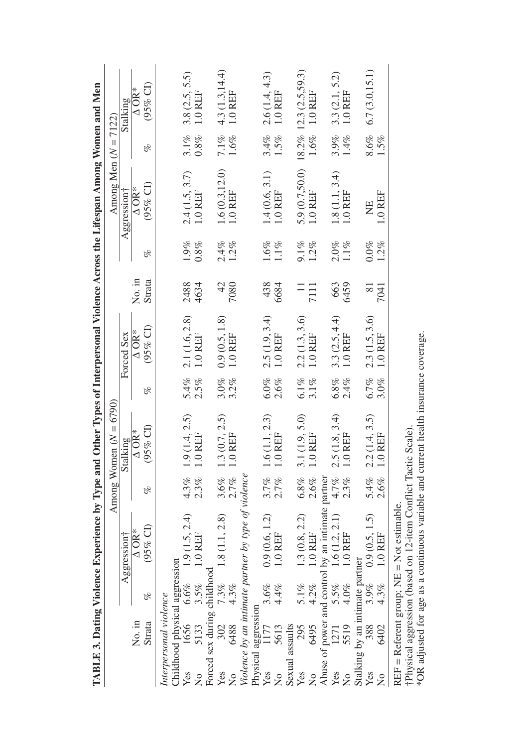|                 |                                 |                                 |                                                     |                       |                              |                    |                            |                |                       | TABLE 3. Dating Violence Experience by Type and Other Types of Interpersonal Violence Across the Lifespan Among Women and Men |                 |                             |
|-----------------|---------------------------------|---------------------------------|-----------------------------------------------------|-----------------------|------------------------------|--------------------|----------------------------|----------------|-----------------------|-------------------------------------------------------------------------------------------------------------------------------|-----------------|-----------------------------|
|                 |                                 |                                 |                                                     |                       | Among Women $(N = 6790)$     |                    |                            |                |                       | Among Men $(N = 7122)$                                                                                                        |                 |                             |
|                 |                                 |                                 | Aggression <sup>†</sup>                             |                       | Stalking                     |                    | Forced Sex                 |                |                       | Aggression†                                                                                                                   |                 | Stalking                    |
|                 | $No.$ in                        |                                 | $\overline{\Delta$ OR*                              |                       | $\overline{\Delta$ OR*       |                    | $\Delta$ OR*               | lo. in         |                       | $\Delta$ OR*                                                                                                                  |                 | $\overline{\Delta$ OR*      |
|                 | Strata                          | of                              | $(95%$ CI)                                          | Ę                     | $(95%$ CI)                   | of                 | $(95%$ CI)                 | Strata         | S,                    | $(95\% \text{ Cl})$                                                                                                           | of              | $(95%$ CI                   |
|                 | Interpersonal violence          |                                 |                                                     |                       |                              |                    |                            |                |                       |                                                                                                                               |                 |                             |
|                 |                                 | Childhood physical aggression   |                                                     |                       |                              |                    |                            |                |                       |                                                                                                                               |                 |                             |
| Yes             | 1656                            |                                 | 2.4)<br>$6.6\%$ 1.9 (1.5,                           | $\frac{4.3\%}{2.3\%}$ | 1.9(1.4, 2.5)                | 5.4%<br>2.5%       | 2.1(1.6, 2.8)              | 2488           | 1.9%                  | $2.4(1.5, 3.7)$<br>1.0 REF                                                                                                    | $3.1\%$<br>0.8% | $3.8 (2.5, 5.5)$<br>1.0 REF |
| $\frac{1}{2}$   | 5133                            | 3.5%                            | $1.0$ REF                                           |                       | $1.0$ REF                    |                    | $1.0$ REF                  | 4634           | 0.8%                  |                                                                                                                               |                 |                             |
|                 |                                 | Forced sex during childhood     |                                                     |                       |                              |                    |                            |                |                       |                                                                                                                               |                 |                             |
| Yes             | 302                             |                                 | $7.3\%$ 1.8 (1.1, 2.8)                              | 3.6%                  | $1.3(0.7, 2.5)$<br>$1.0$ REF |                    | 0.9(0.5, 1.8)              | $\frac{1}{2}$  |                       |                                                                                                                               |                 | $4.3(1.3, 14.4)$<br>1.0 REF |
| $\frac{1}{2}$   | 6488                            | 4.3%                            |                                                     | 2.7%                  |                              | $3.2\%$            | $1.0$ REF                  | 7080           | 2.4%<br>1.2%          | $1.6(0.3, 12.0)$<br>$1.0$ REF                                                                                                 | $7.1\%$<br>1.6% |                             |
|                 |                                 |                                 | Violence by an intimate partner by type of violence |                       |                              |                    |                            |                |                       |                                                                                                                               |                 |                             |
|                 | Physical aggression<br>Yes 1177 |                                 |                                                     |                       |                              |                    |                            |                |                       |                                                                                                                               |                 |                             |
|                 |                                 |                                 | 1.2)                                                | 3.7%<br>2.7%          |                              |                    | $2.5(1.9, 3.4)$<br>1.0 REF | 438            | $1.6\%$               | 1.4(0.6, 3.1)                                                                                                                 |                 | $2.6(1.4, 4.3)$<br>1.0 REF  |
| $\frac{1}{2}$   | 5613                            | 4.4%                            | $3.6\%$ 0.9 (0.6,<br>4.4% 1.0 REF                   |                       | $1.6(1.1, 2.3)$<br>$1.0$ REF | $6.0\%$<br>$2.6\%$ |                            | 6684           | $1.1\%$               | $1.0$ REF                                                                                                                     | $3.4\%$<br>1.5% |                             |
| Sexual assaults |                                 |                                 |                                                     |                       |                              |                    |                            |                |                       |                                                                                                                               |                 |                             |
| Yes             | 295                             | 5.1%<br>4.2%                    | (2.2)<br>1.3(0.8, 1.000)                            | 6.8%                  | 3.1(1.9, 5.0)                | 6.1%<br>3.1%       | $2.2(1.3, 3.6)$<br>1.0 REF |                | $\frac{9.1\%}{1.2\%}$ | 5.9 (0.7,50.0)                                                                                                                |                 | $18.2\%$ 12.3 (2.5,59.3)    |
| $\frac{1}{2}$   | 6495                            |                                 |                                                     | 2.6%                  | $1.0$ REF                    |                    |                            | 7111           |                       | $1.0$ REF                                                                                                                     | $1.6\%$         | $1.0$ REF                   |
|                 |                                 |                                 | Abuse of power and control by an intimate partner   |                       |                              |                    |                            |                |                       |                                                                                                                               |                 |                             |
| Yes             | 1271                            | 5.5%                            | (1.2)<br>1.6 (1.2, 1<br>1.0 REF                     | 4.7%                  | 2.5(1.8, 3.4)                | $6.8\%$<br>2.4%    | 3.3(2.5, 4.4)              | 663            | 2.0%                  | 1.8(1.1, 3.4)                                                                                                                 | 3.9%            | 3.3(2.1, 5.2)               |
| $\frac{1}{2}$   | 5519                            | $4.0\%$                         |                                                     | 2.3%                  | $1.0$ REF                    |                    | $1.0$ REF                  | 6459           | $1.1\%$               | $1.0$ REF                                                                                                                     | $1.4\%$         | $1.0$ REF                   |
|                 |                                 | Stalking by an intimate partner |                                                     |                       |                              |                    |                            |                |                       |                                                                                                                               |                 |                             |
| Yes             | 388                             |                                 | 1.5<br>$3.9\%$ 0.9 (0.5,<br>4.3% 1.0 REF            | 5.4%                  | $2.2(1.4, 3.5)$<br>1.0 REF   | 6.7%               | 2.3(1.5, 3.6)              | $\overline{8}$ | 0.0%                  | Ë                                                                                                                             | 8.6%            | 6.7(3.0, 15.1)              |
| $\frac{1}{2}$   | 6402                            |                                 |                                                     | 2.6%                  |                              | 3.0%               | $1.0$ REF                  | 7041           | 1.2%                  | $1.0$ REF                                                                                                                     | $1.5\%$         |                             |
|                 |                                 |                                 | $REF = Referent group; NE = Not estimate$           |                       |                              |                    |                            |                |                       |                                                                                                                               |                 |                             |

the contract control of the continuous variable and current health insurance coverage.<br>
\*OR adjusted for age as a continuous variable and current health insurance coverage.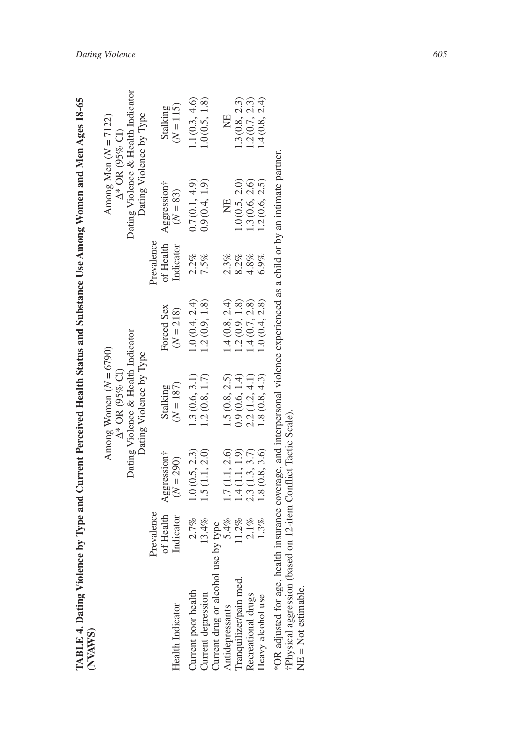| <b>TABLE 4. Dating Violence</b><br>(NVAWS) |            |                         |                                    |               |            | by Type and Current Perceived Health Status and Substance Use Among Women and Men Ages 18-65    |               |
|--------------------------------------------|------------|-------------------------|------------------------------------|---------------|------------|-------------------------------------------------------------------------------------------------|---------------|
|                                            |            |                         | Among Women $(N = 6790)$           |               |            | Among Men $(N = 7122)$                                                                          |               |
|                                            |            |                         | $\Delta^*$ OR (95% CI)             |               |            | $\Delta^*$ OR (95% CI)                                                                          |               |
|                                            |            |                         | Dating Violence & Health Indicator |               |            | Dating Violence & Health Indicator                                                              |               |
|                                            |            |                         | Dating Violence by Type            |               |            | Dating Violence by Type                                                                         |               |
|                                            | Prevalence |                         |                                    |               | Prevalence |                                                                                                 |               |
|                                            | of Health  | Aggression <sup>+</sup> | Stalking                           | Forced Sex    | of Health  | Aggression <sup>+</sup>                                                                         | Stalking      |
| Health Indicator                           | ndicator   | $(N = 290)$             | $(N = 187)$                        | $(N = 218)$   | Indicator  | $(N = 83)$                                                                                      | $(N = 115)$   |
| Current poor health                        | 2.7%       | 1.0(0.5, 2.3)           | 1.3(0.6, 3.1)                      | 1.0(0.4, 2.4) | 2.2%       | 0.7(0.1, 4.9)                                                                                   | 1.1(0.3, 4.6) |
| Current depression                         | 13.4%      | 1.5(1.1, 2.0)           | 1.2(0.8, 1.7)                      | 1.2(0.9, 1.8) | 7.5%       | 0.9(0.4, 1.9)                                                                                   | 1.0(0.5, 1.8) |
| Current drug or alcohol use by type        |            |                         |                                    |               |            |                                                                                                 |               |
| Antidepressants                            | 5.4%       | 1.7(1.1, 2.6)           | 1.5(0.8, 2.5)                      | 1.4(0.8, 2.4) | 2.3%       | ΣÄ                                                                                              | 岂             |
| Tranquilizer/pain med.                     | 11.2%      | 1.4(1.1, 1.9)           | 0.9(0.6, 1.4)                      | 1.2(0.9, 1.8) | 8.2%       | 1.0(0.5, 2.0)                                                                                   | 1.3(0.8, 2.3) |
| Recreational drugs                         | $2.1\%$    | 2.3(1.3, 3.7)           | 2.2(1.2, 4.1)                      | 1.4(0.7, 2.8) | 4.8%       | 1.3(0.6, 2.6)                                                                                   | 1.2(0.7, 2.3) |
| Heavy alcohol use                          | 1.3%       | 1.8(0.8, 3.6)           | 1.8(0.8, 4.3)                      | 1.0(0.4, 2.8) | 6.9%       | 1.2(0.6, 2.5)                                                                                   | (4(0.8, 2.4)  |
| *OR adjusted for age, health               |            |                         |                                    |               |            | insurance coverage, and interpersonal violence experienced as a child or by an intimate partner |               |

†Physical aggression (based on 12-item Conflict Tactic Scale).<br>NE = Not estimable.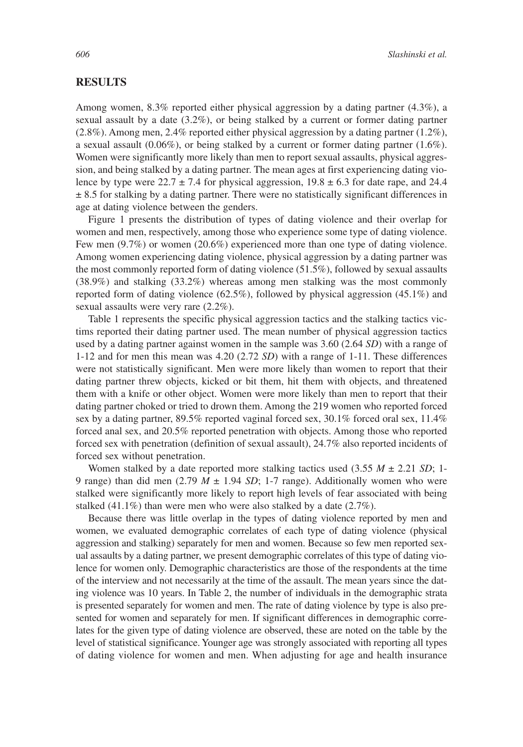## **RESULTS**

Among women, 8.3% reported either physical aggression by a dating partner (4.3%), a sexual assault by a date  $(3.2\%)$ , or being stalked by a current or former dating partner  $(2.8\%)$ . Among men, 2.4% reported either physical aggression by a dating partner  $(1.2\%)$ , a sexual assault  $(0.06\%)$ , or being stalked by a current or former dating partner  $(1.6\%)$ . Women were significantly more likely than men to report sexual assaults, physical aggression, and being stalked by a dating partner. The mean ages at first experiencing dating violence by type were  $22.7 \pm 7.4$  for physical aggression,  $19.8 \pm 6.3$  for date rape, and 24.4  $\pm$  8.5 for stalking by a dating partner. There were no statistically significant differences in age at dating violence between the genders.

Figure 1 presents the distribution of types of dating violence and their overlap for women and men, respectively, among those who experience some type of dating violence. Few men  $(9.7%)$  or women  $(20.6%)$  experienced more than one type of dating violence. Among women experiencing dating violence, physical aggression by a dating partner was the most commonly reported form of dating violence  $(51.5\%)$ , followed by sexual assaults  $(38.9\%)$  and stalking  $(33.2\%)$  whereas among men stalking was the most commonly reported form of dating violence  $(62.5\%)$ , followed by physical aggression  $(45.1\%)$  and sexual assaults were very rare  $(2.2\%)$ .

Table 1 represents the specific physical aggression tactics and the stalking tactics victims reported their dating partner used. The mean number of physical aggression tactics used by a dating partner against women in the sample was 3.60 (2.64 SD) with a range of 1-12 and for men this mean was  $4.20$  (2.72 SD) with a range of 1-11. These differences were not statistically significant. Men were more likely than women to report that their dating partner threw objects, kicked or bit them, hit them with objects, and threatened them with a knife or other object. Women were more likely than men to report that their dating partner choked or tried to drown them. Among the 219 women who reported forced sex by a dating partner, 89.5% reported vaginal forced sex, 30.1% forced oral sex, 11.4% forced anal sex, and 20.5% reported penetration with objects. Among those who reported forced sex with penetration (definition of sexual assault), 24.7% also reported incidents of forced sex without penetration.

Women stalked by a date reported more stalking tactics used  $(3.55 M \pm 2.21 SD; 1$ -9 range) than did men (2.79  $M \pm 1.94$  SD; 1-7 range). Additionally women who were stalked were significantly more likely to report high levels of fear associated with being stalked  $(41.1\%)$  than were men who were also stalked by a date  $(2.7\%)$ .

Because there was little overlap in the types of dating violence reported by men and women, we evaluated demographic correlates of each type of dating violence (physical aggression and stalking) separately for men and women. Because so few men reported sexual assaults by a dating partner, we present demographic correlates of this type of dating violence for women only. Demographic characteristics are those of the respondents at the time of the interview and not necessarily at the time of the assault. The mean years since the dating violence was 10 years. In Table 2, the number of individuals in the demographic strata is presented separately for women and men. The rate of dating violence by type is also presented for women and separately for men. If significant differences in demographic correlates for the given type of dating violence are observed, these are noted on the table by the level of statistical significance. Younger age was strongly associated with reporting all types of dating violence for women and men. When adjusting for age and health insurance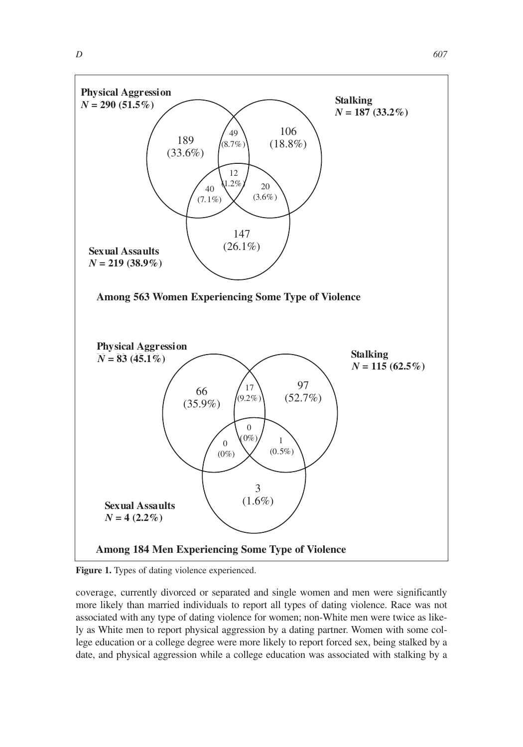

Figure 1. Types of dating violence experienced.

coverage, currently divorced or separated and single women and men were significantly more likely than married individuals to report all types of dating violence. Race was not associated with any type of dating violence for women; non-White men were twice as likely as White men to report physical aggression by a dating partner. Women with some college education or a college degree were more likely to report forced sex, being stalked by a date, and physical aggression while a college education was associated with stalking by a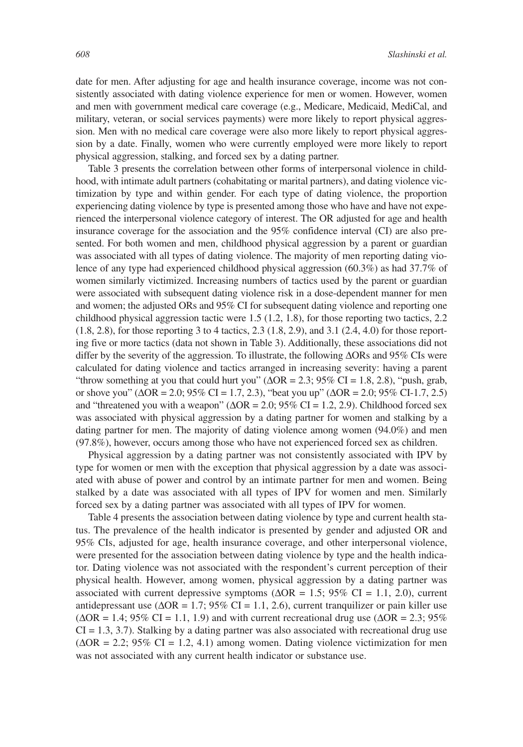date for men. After adjusting for age and health insurance coverage, income was not consistently associated with dating violence experience for men or women. However, women and men with government medical care coverage (e.g., Medicare, Medicaid, MediCal, and military, veteran, or social services payments) were more likely to report physical aggression. Men with no medical care coverage were also more likely to report physical aggression by a date. Finally, women who were currently employed were more likely to report physical aggression, stalking, and forced sex by a dating partner.

Table 3 presents the correlation between other forms of interpersonal violence in childhood, with intimate adult partners (cohabitating or marital partners), and dating violence victimization by type and within gender. For each type of dating violence, the proportion experiencing dating violence by type is presented among those who have and have not experienced the interpersonal violence category of interest. The OR adjusted for age and health insurance coverage for the association and the 95% confidence interval (CI) are also presented. For both women and men, childhood physical aggression by a parent or guardian was associated with all types of dating violence. The majority of men reporting dating violence of any type had experienced childhood physical aggression  $(60.3\%)$  as had 37.7% of women similarly victimized. Increasing numbers of tactics used by the parent or guardian were associated with subsequent dating violence risk in a dose-dependent manner for men and women; the adjusted ORs and 95% CI for subsequent dating violence and reporting one childhood physical aggression tactic were 1.5  $(1.2, 1.8)$ , for those reporting two tactics, 2.2  $(1.8, 2.8)$ , for those reporting 3 to 4 tactics, 2.3  $(1.8, 2.9)$ , and 3.1  $(2.4, 4.0)$  for those reporting five or more tactics (data not shown in Table 3). Additionally, these associations did not differ by the severity of the aggression. To illustrate, the following  $\Delta$ ORs and 95% CIs were calculated for dating violence and tactics arranged in increasing severity: having a parent "throw something at you that could hurt you" ( $\triangle$ OR = 2.3; 95% CI = 1.8, 2.8), "push, grab, or shove you" ( $\Delta$ OR = 2.0; 95% CI = 1.7, 2.3), "beat you up" ( $\Delta$ OR = 2.0; 95% CI-1.7, 2.5) and "threatened you with a weapon" ( $\Delta$ OR = 2.0; 95% CI = 1.2, 2.9). Childhood forced sex was associated with physical aggression by a dating partner for women and stalking by a dating partner for men. The majority of dating violence among women (94.0%) and men (97.8%), however, occurs among those who have not experienced forced sex as children.

Physical aggression by a dating partner was not consistently associated with IPV by type for women or men with the exception that physical aggression by a date was associated with abuse of power and control by an intimate partner for men and women. Being stalked by a date was associated with all types of IPV for women and men. Similarly forced sex by a dating partner was associated with all types of IPV for women.

Table 4 presents the association between dating violence by type and current health status. The prevalence of the health indicator is presented by gender and adjusted OR and 95% CIs, adjusted for age, health insurance coverage, and other interpersonal violence, were presented for the association between dating violence by type and the health indicator. Dating violence was not associated with the respondent's current perception of their physical health. However, among women, physical aggression by a dating partner was associated with current depressive symptoms ( $\Delta$ OR = 1.5; 95% CI = 1.1, 2.0), current antidepressant use ( $\Delta$ OR = 1.7; 95% CI = 1.1, 2.6), current tranquilizer or pain killer use  $(\Delta$ OR = 1.4; 95% CI = 1.1, 1.9) and with current recreational drug use ( $\Delta$ OR = 2.3; 95%  $CI = 1.3, 3.7$ . Stalking by a dating partner was also associated with recreational drug use  $(\Delta$ OR = 2.2; 95% CI = 1.2, 4.1) among women. Dating violence victimization for men was not associated with any current health indicator or substance use.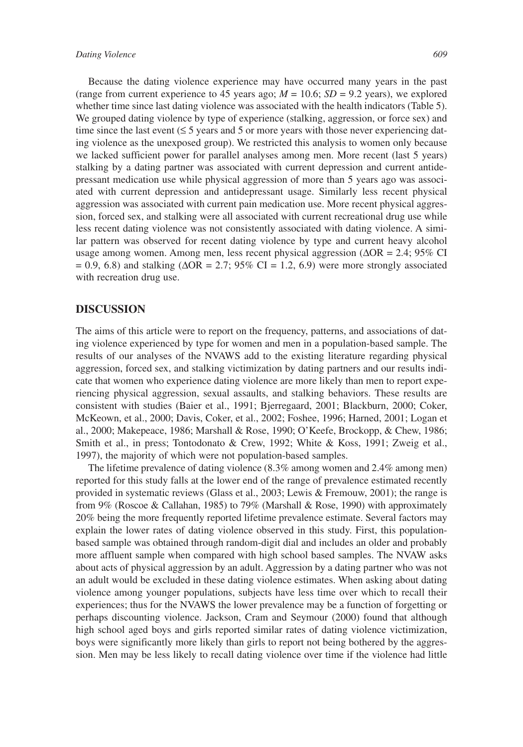Because the dating violence experience may have occurred many years in the past (range from current experience to 45 years ago;  $M = 10.6$ ;  $SD = 9.2$  years), we explored whether time since last dating violence was associated with the health indicators (Table 5). We grouped dating violence by type of experience (stalking, aggression, or force sex) and time since the last event ( $\leq$  5 years and 5 or more years with those never experiencing dating violence as the unexposed group). We restricted this analysis to women only because we lacked sufficient power for parallel analyses among men. More recent (last 5 years) stalking by a dating partner was associated with current depression and current antidepressant medication use while physical aggression of more than 5 years ago was associated with current depression and antidepressant usage. Similarly less recent physical aggression was associated with current pain medication use. More recent physical aggression, forced sex, and stalking were all associated with current recreational drug use while less recent dating violence was not consistently associated with dating violence. A similar pattern was observed for recent dating violence by type and current heavy alcohol usage among women. Among men, less recent physical aggression ( $\Delta$ OR = 2.4; 95% CI  $= 0.9, 6.8$ ) and stalking ( $\Delta$ OR = 2.7; 95% CI = 1.2, 6.9) were more strongly associated with recreation drug use.

#### **DISCUSSION**

The aims of this article were to report on the frequency, patterns, and associations of dating violence experienced by type for women and men in a population-based sample. The results of our analyses of the NVAWS add to the existing literature regarding physical aggression, forced sex, and stalking victimization by dating partners and our results indicate that women who experience dating violence are more likely than men to report experiencing physical aggression, sexual assaults, and stalking behaviors. These results are consistent with studies (Baier et al., 1991; Bjerregaard, 2001; Blackburn, 2000; Coker, McKeown, et al., 2000; Davis, Coker, et al., 2002; Foshee, 1996; Harned, 2001; Logan et al., 2000; Makepeace, 1986; Marshall & Rose, 1990; O'Keefe, Brockopp, & Chew, 1986; Smith et al., in press; Tontodonato & Crew, 1992; White & Koss, 1991; Zweig et al., 1997), the majority of which were not population-based samples.

The lifetime prevalence of dating violence (8.3% among women and 2.4% among men) reported for this study falls at the lower end of the range of prevalence estimated recently provided in systematic reviews (Glass et al., 2003; Lewis & Fremouw, 2001); the range is from 9% (Roscoe & Callahan, 1985) to 79% (Marshall & Rose, 1990) with approximately 20% being the more frequently reported lifetime prevalence estimate. Several factors may explain the lower rates of dating violence observed in this study. First, this populationbased sample was obtained through random-digit dial and includes an older and probably more affluent sample when compared with high school based samples. The NVAW asks about acts of physical aggression by an adult. Aggression by a dating partner who was not an adult would be excluded in these dating violence estimates. When asking about dating violence among younger populations, subjects have less time over which to recall their experiences; thus for the NVAWS the lower prevalence may be a function of forgetting or perhaps discounting violence. Jackson, Cram and Seymour (2000) found that although high school aged boys and girls reported similar rates of dating violence victimization, boys were significantly more likely than girls to report not being bothered by the aggression. Men may be less likely to recall dating violence over time if the violence had little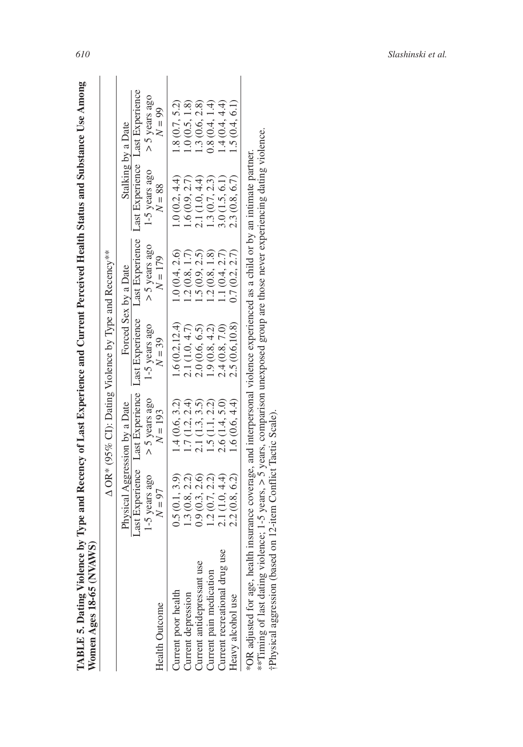| TABLE 5. Dating Violence by Type and Recency of Last Experience and Current Perceived Health Status and Substance Use Among<br>Women Ages 18-65 (NVAWS) |                                 |                                                              |                           |                                 |                                 |                             |
|---------------------------------------------------------------------------------------------------------------------------------------------------------|---------------------------------|--------------------------------------------------------------|---------------------------|---------------------------------|---------------------------------|-----------------------------|
|                                                                                                                                                         |                                 | $\Delta$ OR* (95% CI): Dating Violence by Type and Recency** |                           |                                 |                                 |                             |
|                                                                                                                                                         | Physical Aggression by a Date   |                                                              |                           | Forced Sex by a Date            | Stalking by a Date              |                             |
|                                                                                                                                                         | Last Experience Last Experience |                                                              |                           | Last Experience Last Experience | Last Experience Last Experience |                             |
| Health Outcome                                                                                                                                          | 1-5 years ago<br>$N = 97$       | $>$ 5 years ago<br>$N = 193$                                 | 1-5 years ago<br>$N = 39$ | $>$ 5 years ago<br>$N = 179$    | 1-5 years ago<br>$N = 88$       | $>$ 5 years ago<br>$N = 99$ |
| Current poor health                                                                                                                                     | 0.5(0.1, 3.9)                   | 1.4(0.6, 3.2)                                                | 1.6(0.2, 12.4)            | 1.0(0.4, 2.6)                   | 1.0(0.2, 4.4)                   | 1.8(0.7, 5.2)               |
| Current depression                                                                                                                                      | 1.3(0.8, 2.2)                   | 1.7(1.2, 2.4)                                                | 2.1(1.0, 4.7)             | 1.2(0.8, 1.7)                   | 1.6(0.9, 2.7)                   | 1.0(0.5, 1.8)               |
| Current antidepressant use                                                                                                                              | 0.9(0.3, 2.6)                   | 2.1(1.3, 3.5)                                                | 2.0(0.6, 6.5)             | 1.5(0.9, 2.5)                   | 2.1 (1.0, 4.4)                  | 1.3(0.6, 2.8)               |
| Current pain medication                                                                                                                                 | 1.2(0.7, 2.2)                   | 1.5(1.1, 2.2)                                                | 1.9(0.8, 4.2)             | 1.2(0.8, 1.8)                   | 1.3(0.7, 2.3)                   | 0.8(0.4, 1.4)               |
| Current recreational drug use                                                                                                                           | 2.1(1.0, 4.4)                   | 2.6(1.4, 5.0)                                                | 2.4(0.8, 7.0)             | 1.1(0.4, 2.7)                   | 3.0(1.5, 6.1)                   | 1.4(0.4, 4.4)               |
| Heavy alcohol use                                                                                                                                       | 2.2(0.8, 6.2)                   | 1.6(0.6, 4.4)                                                | 2.5(0.6.10.8)             | 0.7(0.2, 2.7)                   | 2.3(0.8, 6.7)                   | 1.5(0.4, 6.1)               |
| *OR adjusted for age, health insurance coverage, and interpersonal violence experienced as a child or by an intimate partner.                           |                                 |                                                              |                           |                                 |                                 |                             |
| **Timing of last dating violence; 1-5 years, > 5 years, comparison unexposed group are those never experiencing dating violence.                        |                                 |                                                              |                           |                                 |                                 |                             |

†Physical aggression (based on 12-item Conflict Tactic Scale).

610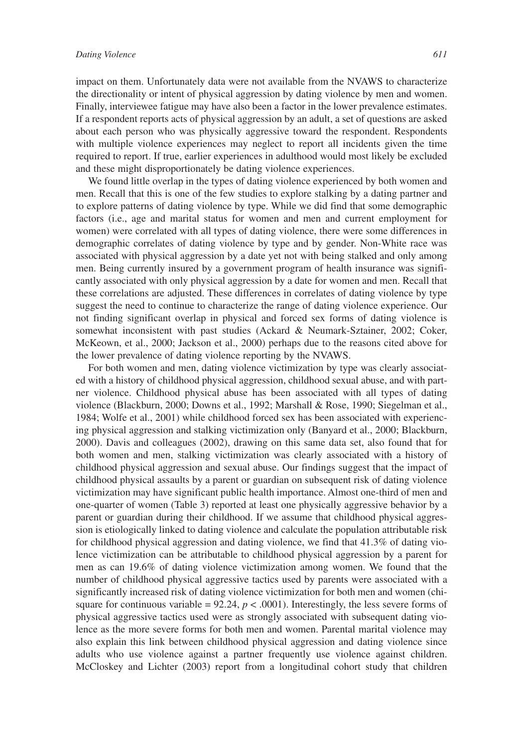impact on them. Unfortunately data were not available from the NVAWS to characterize the directionality or intent of physical aggression by dating violence by men and women. Finally, interviewee fatigue may have also been a factor in the lower prevalence estimates. If a respondent reports acts of physical aggression by an adult, a set of questions are asked about each person who was physically aggressive toward the respondent. Respondents with multiple violence experiences may neglect to report all incidents given the time required to report. If true, earlier experiences in adulthood would most likely be excluded and these might disproportionately be dating violence experiences.

We found little overlap in the types of dating violence experienced by both women and men. Recall that this is one of the few studies to explore stalking by a dating partner and to explore patterns of dating violence by type. While we did find that some demographic factors (i.e., age and marital status for women and men and current employment for women) were correlated with all types of dating violence, there were some differences in demographic correlates of dating violence by type and by gender. Non-White race was associated with physical aggression by a date yet not with being stalked and only among men. Being currently insured by a government program of health insurance was significantly associated with only physical aggression by a date for women and men. Recall that these correlations are adjusted. These differences in correlates of dating violence by type suggest the need to continue to characterize the range of dating violence experience. Our not finding significant overlap in physical and forced sex forms of dating violence is somewhat inconsistent with past studies (Ackard & Neumark-Sztainer, 2002; Coker, McKeown, et al., 2000; Jackson et al., 2000) perhaps due to the reasons cited above for the lower prevalence of dating violence reporting by the NVAWS.

For both women and men, dating violence victimization by type was clearly associated with a history of childhood physical aggression, childhood sexual abuse, and with partner violence. Childhood physical abuse has been associated with all types of dating violence (Blackburn, 2000; Downs et al., 1992; Marshall & Rose, 1990; Siegelman et al., 1984; Wolfe et al., 2001) while childhood forced sex has been associated with experiencing physical aggression and stalking victimization only (Banyard et al., 2000; Blackburn, 2000). Davis and colleagues (2002), drawing on this same data set, also found that for both women and men, stalking victimization was clearly associated with a history of childhood physical aggression and sexual abuse. Our findings suggest that the impact of childhood physical assaults by a parent or guardian on subsequent risk of dating violence victimization may have significant public health importance. Almost one-third of men and one-quarter of women (Table 3) reported at least one physically aggressive behavior by a parent or guardian during their childhood. If we assume that childhood physical aggression is etiologically linked to dating violence and calculate the population attributable risk for childhood physical aggression and dating violence, we find that 41.3% of dating violence victimization can be attributable to childhood physical aggression by a parent for men as can 19.6% of dating violence victimization among women. We found that the number of childhood physical aggressive tactics used by parents were associated with a significantly increased risk of dating violence victimization for both men and women (chisquare for continuous variable = 92.24,  $p < .0001$ ). Interestingly, the less severe forms of physical aggressive tactics used were as strongly associated with subsequent dating violence as the more severe forms for both men and women. Parental marital violence may also explain this link between childhood physical aggression and dating violence since adults who use violence against a partner frequently use violence against children. McCloskey and Lichter (2003) report from a longitudinal cohort study that children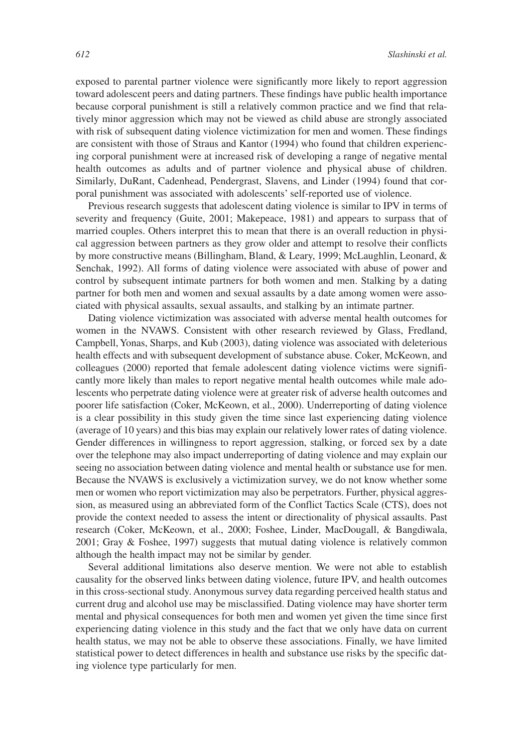exposed to parental partner violence were significantly more likely to report aggression toward adolescent peers and dating partners. These findings have public health importance because corporal punishment is still a relatively common practice and we find that relatively minor aggression which may not be viewed as child abuse are strongly associated with risk of subsequent dating violence victimization for men and women. These findings are consistent with those of Straus and Kantor (1994) who found that children experiencing corporal punishment were at increased risk of developing a range of negative mental health outcomes as adults and of partner violence and physical abuse of children. Similarly, DuRant, Cadenhead, Pendergrast, Slavens, and Linder (1994) found that corporal punishment was associated with adolescents' self-reported use of violence.

Previous research suggests that adolescent dating violence is similar to IPV in terms of severity and frequency (Guite, 2001; Makepeace, 1981) and appears to surpass that of married couples. Others interpret this to mean that there is an overall reduction in physical aggression between partners as they grow older and attempt to resolve their conflicts by more constructive means (Billingham, Bland, & Leary, 1999; McLaughlin, Leonard, & Senchak, 1992). All forms of dating violence were associated with abuse of power and control by subsequent intimate partners for both women and men. Stalking by a dating partner for both men and women and sexual assaults by a date among women were associated with physical assaults, sexual assaults, and stalking by an intimate partner.

Dating violence victimization was associated with adverse mental health outcomes for women in the NVAWS. Consistent with other research reviewed by Glass, Fredland, Campbell, Yonas, Sharps, and Kub (2003), dating violence was associated with deleterious health effects and with subsequent development of substance abuse. Coker, McKeown, and colleagues (2000) reported that female adolescent dating violence victims were significantly more likely than males to report negative mental health outcomes while male adolescents who perpetrate dating violence were at greater risk of adverse health outcomes and poorer life satisfaction (Coker, McKeown, et al., 2000). Underreporting of dating violence is a clear possibility in this study given the time since last experiencing dating violence (average of 10 years) and this bias may explain our relatively lower rates of dating violence. Gender differences in willingness to report aggression, stalking, or forced sex by a date over the telephone may also impact underreporting of dating violence and may explain our seeing no association between dating violence and mental health or substance use for men. Because the NVAWS is exclusively a victimization survey, we do not know whether some men or women who report victimization may also be perpetrators. Further, physical aggression, as measured using an abbreviated form of the Conflict Tactics Scale (CTS), does not provide the context needed to assess the intent or directionality of physical assaults. Past research (Coker, McKeown, et al., 2000; Foshee, Linder, MacDougall, & Bangdiwala, 2001; Gray & Foshee, 1997) suggests that mutual dating violence is relatively common although the health impact may not be similar by gender.

Several additional limitations also deserve mention. We were not able to establish causality for the observed links between dating violence, future IPV, and health outcomes in this cross-sectional study. Anonymous survey data regarding perceived health status and current drug and alcohol use may be misclassified. Dating violence may have shorter term mental and physical consequences for both men and women yet given the time since first experiencing dating violence in this study and the fact that we only have data on current health status, we may not be able to observe these associations. Finally, we have limited statistical power to detect differences in health and substance use risks by the specific dating violence type particularly for men.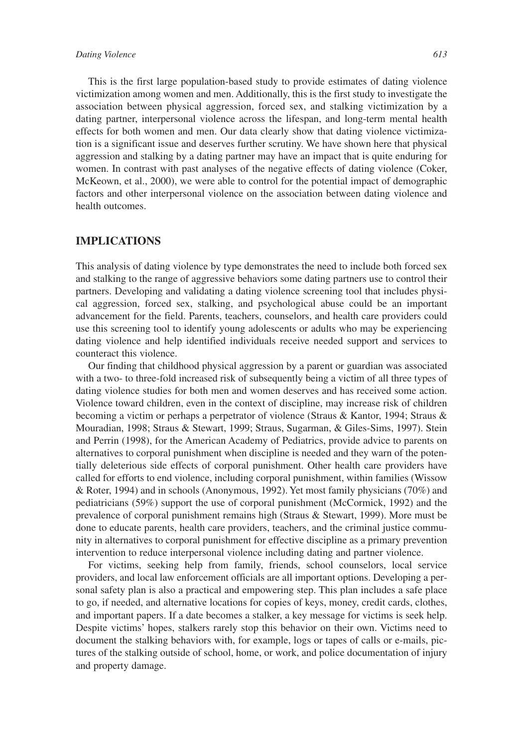This is the first large population-based study to provide estimates of dating violence victimization among women and men. Additionally, this is the first study to investigate the association between physical aggression, forced sex, and stalking victimization by a dating partner, interpersonal violence across the lifespan, and long-term mental health effects for both women and men. Our data clearly show that dating violence victimization is a significant issue and deserves further scrutiny. We have shown here that physical aggression and stalking by a dating partner may have an impact that is quite enduring for women. In contrast with past analyses of the negative effects of dating violence (Coker, McKeown, et al., 2000), we were able to control for the potential impact of demographic factors and other interpersonal violence on the association between dating violence and health outcomes.

## **IMPLICATIONS**

This analysis of dating violence by type demonstrates the need to include both forced sex and stalking to the range of aggressive behaviors some dating partners use to control their partners. Developing and validating a dating violence screening tool that includes physical aggression, forced sex, stalking, and psychological abuse could be an important advancement for the field. Parents, teachers, counselors, and health care providers could use this screening tool to identify young adolescents or adults who may be experiencing dating violence and help identified individuals receive needed support and services to counteract this violence.

Our finding that childhood physical aggression by a parent or guardian was associated with a two- to three-fold increased risk of subsequently being a victim of all three types of dating violence studies for both men and women deserves and has received some action. Violence toward children, even in the context of discipline, may increase risk of children becoming a victim or perhaps a perpetrator of violence (Straus & Kantor, 1994; Straus & Mouradian, 1998; Straus & Stewart, 1999; Straus, Sugarman, & Giles-Sims, 1997). Stein and Perrin (1998), for the American Academy of Pediatrics, provide advice to parents on alternatives to corporal punishment when discipline is needed and they warn of the potentially deleterious side effects of corporal punishment. Other health care providers have called for efforts to end violence, including corporal punishment, within families (Wissow & Roter, 1994) and in schools (Anonymous, 1992). Yet most family physicians (70%) and pediatricians (59%) support the use of corporal punishment (McCormick, 1992) and the prevalence of corporal punishment remains high (Straus & Stewart, 1999). More must be done to educate parents, health care providers, teachers, and the criminal justice community in alternatives to corporal punishment for effective discipline as a primary prevention intervention to reduce interpersonal violence including dating and partner violence.

For victims, seeking help from family, friends, school counselors, local service providers, and local law enforcement officials are all important options. Developing a personal safety plan is also a practical and empowering step. This plan includes a safe place to go, if needed, and alternative locations for copies of keys, money, credit cards, clothes, and important papers. If a date becomes a stalker, a key message for victims is seek help. Despite victims' hopes, stalkers rarely stop this behavior on their own. Victims need to document the stalking behaviors with, for example, logs or tapes of calls or e-mails, pictures of the stalking outside of school, home, or work, and police documentation of injury and property damage.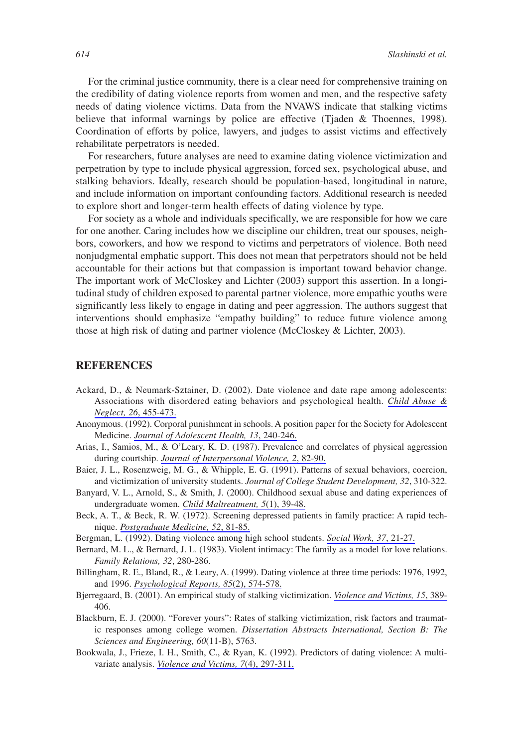For the criminal justice community, there is a clear need for comprehensive training on the credibility of dating violence reports from women and men, and the respective safety needs of dating violence victims. Data from the NVAWS indicate that stalking victims believe that informal warnings by police are effective (Tjaden & Thoennes, 1998). Coordination of efforts by police, lawyers, and judges to assist victims and effectively rehabilitate perpetrators is needed.

For researchers, future analyses are need to examine dating violence victimization and perpetration by type to include physical aggression, forced sex, psychological abuse, and stalking behaviors. Ideally, research should be population-based, longitudinal in nature, and include information on important confounding factors. Additional research is needed to explore short and longer-term health effects of dating violence by type.

For society as a whole and individuals specifically, we are responsible for how we care for one another. Caring includes how we discipline our children, treat our spouses, neighbors, coworkers, and how we respond to victims and perpetrators of violence. Both need nonjudgmental emphatic support. This does not mean that perpetrators should not be held accountable for their actions but that compassion is important toward behavior change. The important work of McCloskey and Lichter (2003) support this assertion. In a longitudinal study of children exposed to parental partner violence, more empathic youths were significantly less likely to engage in dating and peer aggression. The authors suggest that interventions should emphasize "empathy building" to reduce future violence among those at high risk of dating and partner violence (McCloskey & Lichter, 2003).

#### **REFERENCES**

- Ackard, D., & Neumark-Sztainer, D. (2002). Date violence and date rape among adolescents: Associations with disordered eating behaviors and psychological health. Child Abuse & Neglect, 26, 455-473.
- Anonymous. (1992). Corporal punishment in schools. A position paper for the Society for Adolescent Medicine. Journal of Adolescent Health, 13, 240-246.
- Arias, I., Samios, M., & O'Leary, K. D. (1987). Prevalence and correlates of physical aggression during courtship. Journal of Interpersonal Violence, 2, 82-90.
- Baier, J. L., Rosenzweig, M. G., & Whipple, E. G. (1991). Patterns of sexual behaviors, coercion, and victimization of university students. Journal of College Student Development, 32, 310-322.
- Banyard, V. L., Arnold, S., & Smith, J. (2000). Childhood sexual abuse and dating experiences of undergraduate women. Child Maltreatment, 5(1), 39-48.
- Beck, A. T., & Beck, R. W. (1972). Screening depressed patients in family practice: A rapid technique. Postgraduate Medicine, 52, 81-85.
- Bergman, L. (1992). Dating violence among high school students. Social Work, 37, 21-27.
- Bernard, M. L., & Bernard, J. L. (1983). Violent intimacy: The family as a model for love relations. Family Relations, 32, 280-286.
- Billingham, R. E., Bland, R., & Leary, A. (1999). Dating violence at three time periods: 1976, 1992, and 1996. Psychological Reports, 85(2), 574-578.
- Bjerregaard, B. (2001). An empirical study of stalking victimization. Violence and Victims, 15, 389-406.
- Blackburn, E. J. (2000). "Forever yours": Rates of stalking victimization, risk factors and traumatic responses among college women. Dissertation Abstracts International, Section B: The Sciences and Engineering, 60(11-B), 5763.
- Bookwala, J., Frieze, I. H., Smith, C., & Ryan, K. (1992). Predictors of dating violence: A multivariate analysis. Violence and Victims, 7(4), 297-311.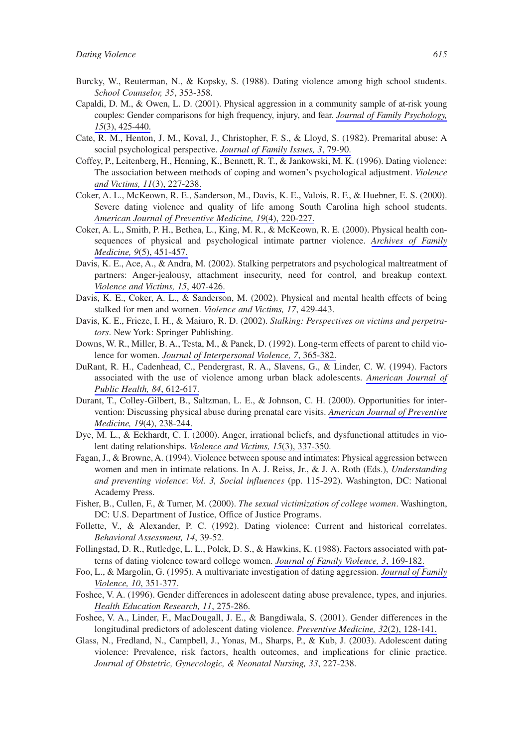- Burcky, W., Reuterman, N., & Kopsky, S. (1988). Dating violence among high school students. School Counselor, 35, 353-358.
- Capaldi, D. M., & Owen, L. D. (2001). Physical aggression in a community sample of at-risk young couples: Gender comparisons for high frequency, injury, and fear. Journal of Family Psychology,  $15(3)$ , 425-440.
- Cate, R. M., Henton, J. M., Koval, J., Christopher, F. S., & Lloyd, S. (1982). Premarital abuse: A social psychological perspective. Journal of Family Issues, 3, 79-90.
- Coffey, P., Leitenberg, H., Henning, K., Bennett, R. T., & Jankowski, M. K. (1996). Dating violence: The association between methods of coping and women's psychological adjustment. Violence and Victims, 11(3), 227-238.
- Coker, A. L., McKeown, R. E., Sanderson, M., Davis, K. E., Valois, R. F., & Huebner, E. S. (2000). Severe dating violence and quality of life among South Carolina high school students. American Journal of Preventive Medicine, 19(4), 220-227.
- Coker, A. L., Smith, P. H., Bethea, L., King, M. R., & McKeown, R. E. (2000). Physical health consequences of physical and psychological intimate partner violence. Archives of Family Medicine, 9(5), 451-457.
- Davis, K. E., Ace, A., & Andra, M. (2002). Stalking perpetrators and psychological maltreatment of partners: Anger-jealousy, attachment insecurity, need for control, and breakup context. Violence and Victims, 15, 407-426.
- Davis, K. E., Coker, A. L., & Sanderson, M. (2002). Physical and mental health effects of being stalked for men and women. Violence and Victims, 17, 429-443.
- Davis, K. E., Frieze, I. H., & Maiuro, R. D. (2002). Stalking: Perspectives on victims and perpetrators. New York: Springer Publishing.
- Downs, W. R., Miller, B. A., Testa, M., & Panek, D. (1992). Long-term effects of parent to child violence for women. Journal of Interpersonal Violence, 7, 365-382.
- DuRant, R. H., Cadenhead, C., Pendergrast, R. A., Slavens, G., & Linder, C. W. (1994). Factors associated with the use of violence among urban black adolescents. American Journal of Public Health, 84, 612-617.
- Durant, T., Colley-Gilbert, B., Saltzman, L. E., & Johnson, C. H. (2000). Opportunities for intervention: Discussing physical abuse during prenatal care visits. American Journal of Preventive Medicine, 19(4), 238-244.
- Dye, M. L., & Eckhardt, C. I. (2000). Anger, irrational beliefs, and dysfunctional attitudes in violent dating relationships. Violence and Victims, 15(3), 337-350.
- Fagan, J., & Browne, A. (1994). Violence between spouse and intimates: Physical aggression between women and men in intimate relations. In A. J. Reiss, Jr., & J. A. Roth (Eds.), Understanding and preventing violence: Vol. 3, Social influences (pp. 115-292). Washington, DC: National Academy Press.
- Fisher, B., Cullen, F., & Turner, M. (2000). The sexual victimization of college women. Washington, DC: U.S. Department of Justice, Office of Justice Programs.
- Follette, V., & Alexander, P. C. (1992). Dating violence: Current and historical correlates. Behavioral Assessment, 14, 39-52.
- Follingstad, D. R., Rutledge, L. L., Polek, D. S., & Hawkins, K. (1988). Factors associated with patterns of dating violence toward college women. Journal of Family Violence, 3, 169-182.
- Foo, L., & Margolin, G. (1995). A multivariate investigation of dating aggression. Journal of Family Violence, 10, 351-377.
- Foshee, V. A. (1996). Gender differences in adolescent dating abuse prevalence, types, and injuries. Health Education Research, 11, 275-286.
- Foshee, V. A., Linder, F., MacDougall, J. E., & Bangdiwala, S. (2001). Gender differences in the longitudinal predictors of adolescent dating violence. Preventive Medicine, 32(2), 128-141.
- Glass, N., Fredland, N., Campbell, J., Yonas, M., Sharps, P., & Kub, J. (2003). Adolescent dating violence: Prevalence, risk factors, health outcomes, and implications for clinic practice. Journal of Obstetric, Gynecologic, & Neonatal Nursing, 33, 227-238.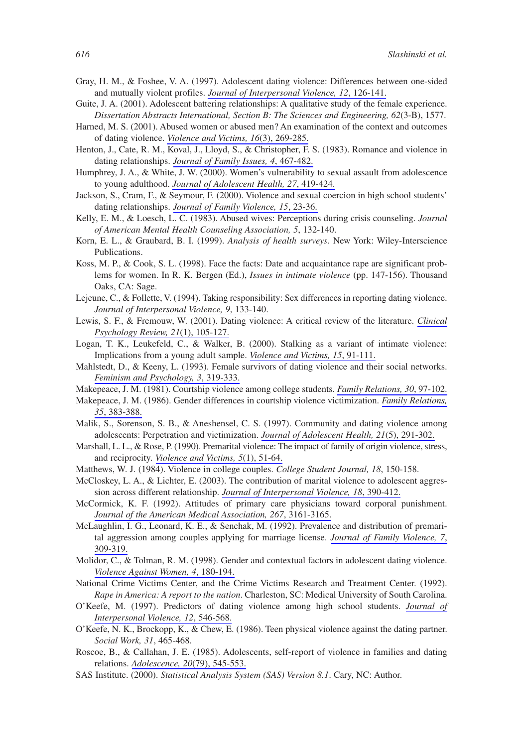- Gray, H. M., & Foshee, V. A. (1997). Adolescent dating violence: Differences between one-sided and mutually violent profiles. Journal of Interpersonal Violence, 12, 126-141.
- Guite, J. A. (2001). Adolescent battering relationships: A qualitative study of the female experience. Dissertation Abstracts International, Section B: The Sciences and Engineering, 62(3-B), 1577.
- Harned, M. S. (2001). Abused women or abused men? An examination of the context and outcomes of dating violence. Violence and Victims, 16(3), 269-285.
- Henton, J., Cate, R. M., Koval, J., Lloyd, S., & Christopher, F. S. (1983). Romance and violence in dating relationships. Journal of Family Issues, 4, 467-482.
- Humphrey, J. A., & White, J. W. (2000). Women's vulnerability to sexual assault from adolescence to young adulthood. Journal of Adolescent Health, 27, 419-424.
- Jackson, S., Cram, F., & Seymour, F. (2000). Violence and sexual coercion in high school students' dating relationships. Journal of Family Violence, 15, 23-36.
- Kelly, E. M., & Loesch, L. C. (1983). Abused wives: Perceptions during crisis counseling. *Journal* of American Mental Health Counseling Association, 5, 132-140.
- Korn, E. L., & Graubard, B. I. (1999). Analysis of health surveys. New York: Wiley-Interscience Publications.
- Koss, M. P., & Cook, S. L. (1998). Face the facts: Date and acquaintance rape are significant problems for women. In R. K. Bergen (Ed.), *Issues in intimate violence* (pp. 147-156). Thousand Oaks, CA: Sage.
- Lejeune, C., & Follette, V. (1994). Taking responsibility: Sex differences in reporting dating violence. Journal of Interpersonal Violence, 9, 133-140.
- Lewis, S. F., & Fremouw, W. (2001). Dating violence: A critical review of the literature. Clinical Psychology Review, 21(1), 105-127.
- Logan, T. K., Leukefeld, C., & Walker, B. (2000). Stalking as a variant of intimate violence: Implications from a young adult sample. Violence and Victims, 15, 91-111.
- Mahlstedt, D., & Keeny, L. (1993). Female survivors of dating violence and their social networks. Feminism and Psychology, 3, 319-333.
- Makepeace, J. M. (1981). Courtship violence among college students. Family Relations, 30, 97-102.
- Makepeace, J. M. (1986). Gender differences in courtship violence victimization. Family Relations, 35, 383-388.
- Malik, S., Sorenson, S. B., & Aneshensel, C. S. (1997). Community and dating violence among adolescents: Perpetration and victimization. Journal of Adolescent Health, 21(5), 291-302.
- Marshall, L. L., & Rose, P. (1990). Premarital violence: The impact of family of origin violence, stress, and reciprocity. Violence and Victims, 5(1), 51-64.
- Matthews, W. J. (1984). Violence in college couples. College Student Journal, 18, 150-158.
- McCloskey, L. A., & Lichter, E. (2003). The contribution of marital violence to adolescent aggression across different relationship. Journal of Interpersonal Violence, 18, 390-412.
- McCormick, K. F. (1992). Attitudes of primary care physicians toward corporal punishment. Journal of the American Medical Association, 267, 3161-3165.
- McLaughlin, I. G., Leonard, K. E., & Senchak, M. (1992). Prevalence and distribution of premarital aggression among couples applying for marriage license. Journal of Family Violence, 7, 309-319.
- Molidor, C., & Tolman, R. M. (1998). Gender and contextual factors in adolescent dating violence. Violence Against Women, 4, 180-194.
- National Crime Victims Center, and the Crime Victims Research and Treatment Center. (1992). Rape in America: A report to the nation. Charleston, SC: Medical University of South Carolina.
- O'Keefe, M. (1997). Predictors of dating violence among high school students. Journal of Interpersonal Violence, 12, 546-568.
- O'Keefe, N. K., Brockopp, K., & Chew, E. (1986). Teen physical violence against the dating partner. Social Work, 31, 465-468.
- Roscoe, B., & Callahan, J. E. (1985). Adolescents, self-report of violence in families and dating relations. Adolescence, 20(79), 545-553.
- SAS Institute. (2000). Statistical Analysis System (SAS) Version 8.1. Cary, NC: Author.